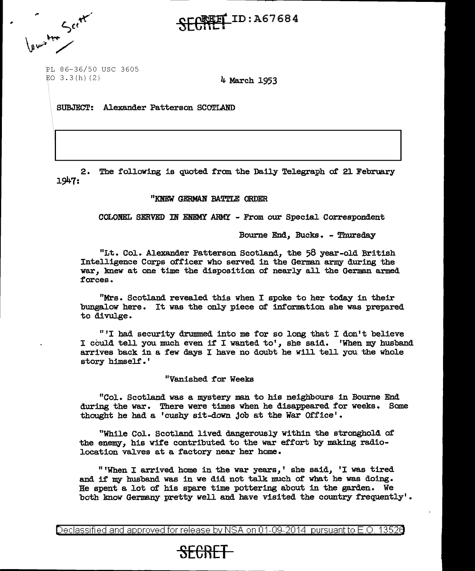

burston Sect

"'

PL 86-36/50 USC 3605  $EO$  3.3 $(h)$  (2)

4 March 1953

SUBJECT: Alexander Patterson SCOTLAND

2. The following is quoted from the Daily Telegraph of 21 February 1947:

## "KNEW GERMAN BATTLE ORDER

COLONEL SERVED IN ENEMY ARMY - From our Special Correspondent

Bourne End, Bucks. - Thursday

"Lt. Col. Alexander Patterson Scotland, the 58 year-old British Intelligence Corps officer who served in the German army during the war, knew at one time the disposition of nearly all the German armed forces.

"Mrs. Scotland. revealed this when I spoke to her today in their bungalow here. It was the only piece of information she was prepared to divulge.

"'I had security drummed into me for so long that I don't believe I could tell you much even if I wanted to', she said. 'When my husband arrives back in a few days I have no doubt he will tell you the whole story himself • '

"Vanished for Weeks

"Col. Scotland was a mystery man to his neighbours in Bourne End during the war. There were times when he disappeared for weeks. Some thought he had a 'cushy sit-down job at the War Office'.

"While Col. Scotland lived dangerously within the stronghold of' the enemy, his wife contributed to the war effort by making radiolocation valves at a factory near her home.

"'When I arrived home in the war years,' she said, 'I was tired and if my husband was in we did not talk much of what he was doing. He spent a lot of his spare time pottering about in the garden. We both know Germany pretty well and have visited the country frequently'.

Declassified and approved for release by NSA on 01-09-2014 pursuantto E.O. 1352a

**SECRET**